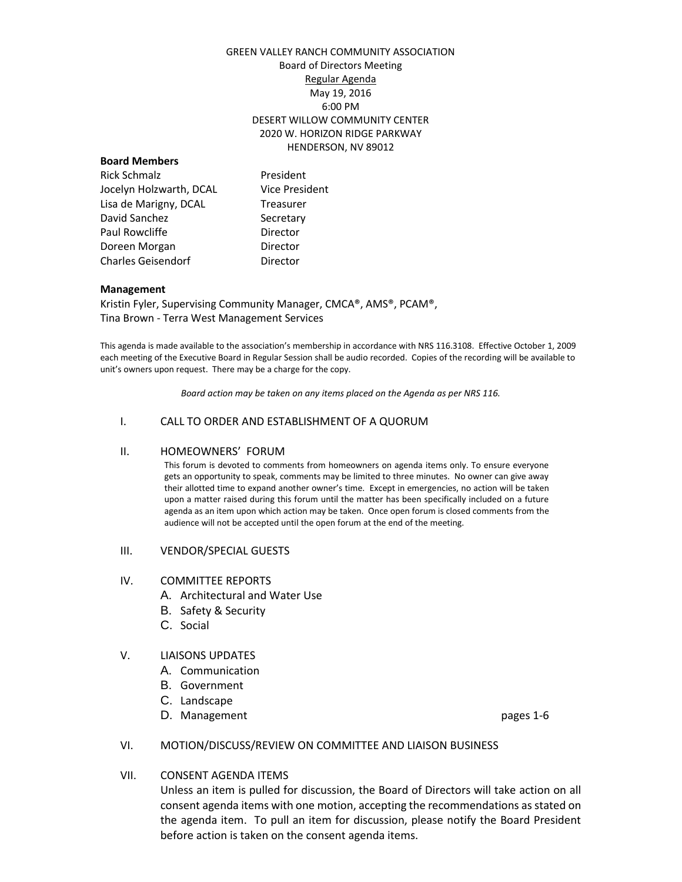### GREEN VALLEY RANCH COMMUNITY ASSOCIATION Board of Directors Meeting Regular Agenda May 19, 2016 6:00 PM DESERT WILLOW COMMUNITY CENTER 2020 W. HORIZON RIDGE PARKWAY HENDERSON, NV 89012

#### **Board Members**

Rick Schmalz **President** Jocelyn Holzwarth, DCAL Vice President Lisa de Marigny, DCAL Treasurer David Sanchez Secretary Paul Rowcliffe **Director** Doreen Morgan **Director** Charles Geisendorf **Director** 

#### **Management**

Kristin Fyler, Supervising Community Manager, CMCA®, AMS®, PCAM®, Tina Brown - Terra West Management Services

This agenda is made available to the association's membership in accordance with NRS 116.3108. Effective October 1, 2009 each meeting of the Executive Board in Regular Session shall be audio recorded. Copies of the recording will be available to unit's owners upon request. There may be a charge for the copy.

*Board action may be taken on any items placed on the Agenda as per NRS 116.*

### I. CALL TO ORDER AND ESTABLISHMENT OF A QUORUM

### II. HOMEOWNERS' FORUM

This forum is devoted to comments from homeowners on agenda items only. To ensure everyone gets an opportunity to speak, comments may be limited to three minutes. No owner can give away their allotted time to expand another owner's time. Except in emergencies, no action will be taken upon a matter raised during this forum until the matter has been specifically included on a future agenda as an item upon which action may be taken. Once open forum is closed comments from the audience will not be accepted until the open forum at the end of the meeting.

#### III. VENDOR/SPECIAL GUESTS

### IV. COMMITTEE REPORTS

- A. Architectural and Water Use
- B. Safety & Security
- C. Social

### V. LIAISONS UPDATES

- A. Communication
- B. Government
- C. Landscape
- D. Management **pages** 1-6

### VI. MOTION/DISCUSS/REVIEW ON COMMITTEE AND LIAISON BUSINESS

### VII. CONSENT AGENDA ITEMS

Unless an item is pulled for discussion, the Board of Directors will take action on all consent agenda items with one motion, accepting the recommendations as stated on the agenda item. To pull an item for discussion, please notify the Board President before action is taken on the consent agenda items.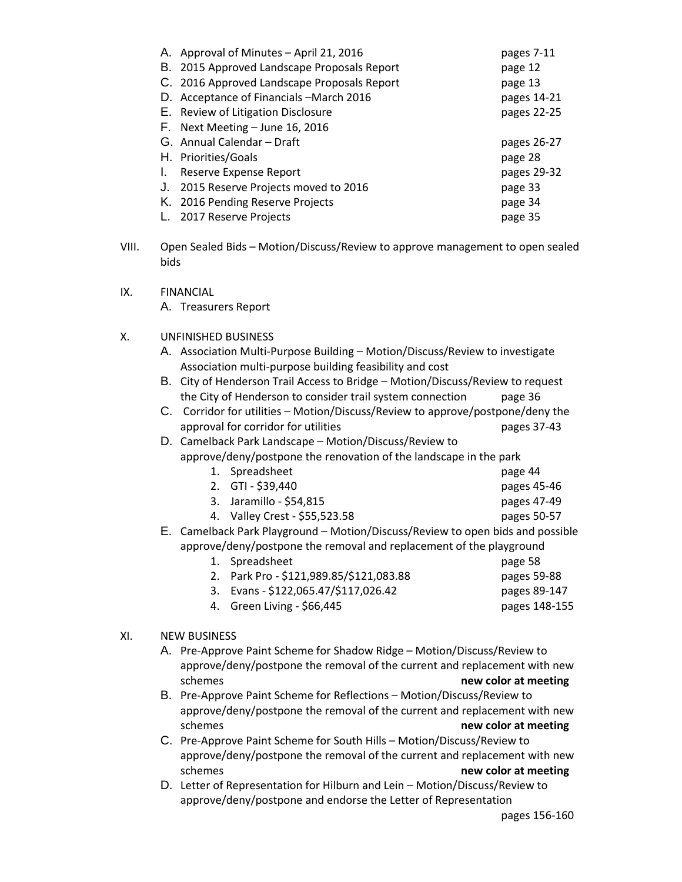| A. Approval of Minutes - April 21, 2016     | pages 7-11  |
|---------------------------------------------|-------------|
| B. 2015 Approved Landscape Proposals Report | page 12     |
| C. 2016 Approved Landscape Proposals Report | page 13     |
| D. Acceptance of Financials - March 2016    | pages 14-21 |
| E. Review of Litigation Disclosure          | pages 22-25 |
| F. Next Meeting - June 16, 2016             |             |
| G. Annual Calendar – Draft                  | pages 26-27 |
| H. Priorities/Goals                         | page 28     |
| Reserve Expense Report                      | pages 29-32 |
| 2015 Reserve Projects moved to 2016<br>J.   | page 33     |
| K. 2016 Pending Reserve Projects            | page 34     |
| 2017 Reserve Projects                       | page 35     |

IX. FINANCIAL

A. Treasurers Report

# X. UNFINISHED BUSINESS

- A. Association Multi-Purpose Building Motion/Discuss/Review to investigate Association multi-purpose building feasibility and cost
- B. City of Henderson Trail Access to Bridge Motion/Discuss/Review to request the City of Henderson to consider trail system connection page 36
- C. Corridor for utilities Motion/Discuss/Review to approve/postpone/deny the approval for corridor for utilities pages 37-43

# D. Camelback Park Landscape – Motion/Discuss/Review to approve/deny/postpone the renovation of the landscape in the park

- 1. Spreadsheet page 44 2. GTI - \$39,440 pages 45-46 3. Jaramillo - \$54,815 pages 47-49 4. Valley Crest - \$55,523.58 pages 50-57 E. Camelback Park Playground – Motion/Discuss/Review to open bids and possible
	- approve/deny/postpone the removal and replacement of the playground 1. Spreadsheet page 58 2. Park Pro - \$121,989.85/\$121,083.88 pages 59-88 3. Evans - \$122,065.47/\$117,026.42 pages 89-147 4. Green Living - \$66,445 pages 148-155

# XI. NEW BUSINESS

- A. Pre-Approve Paint Scheme for Shadow Ridge Motion/Discuss/Review to approve/deny/postpone the removal of the current and replacement with new **new color at meeting new color at meeting**
- B. Pre-Approve Paint Scheme for Reflections Motion/Discuss/Review to approve/deny/postpone the removal of the current and replacement with new schemes **new color at meeting**
- C. Pre-Approve Paint Scheme for South Hills Motion/Discuss/Review to approve/deny/postpone the removal of the current and replacement with new schemes **new color at meeting**
- D. Letter of Representation for Hilburn and Lein Motion/Discuss/Review to approve/deny/postpone and endorse the Letter of Representation

VIII. Open Sealed Bids – Motion/Discuss/Review to approve management to open sealed bids